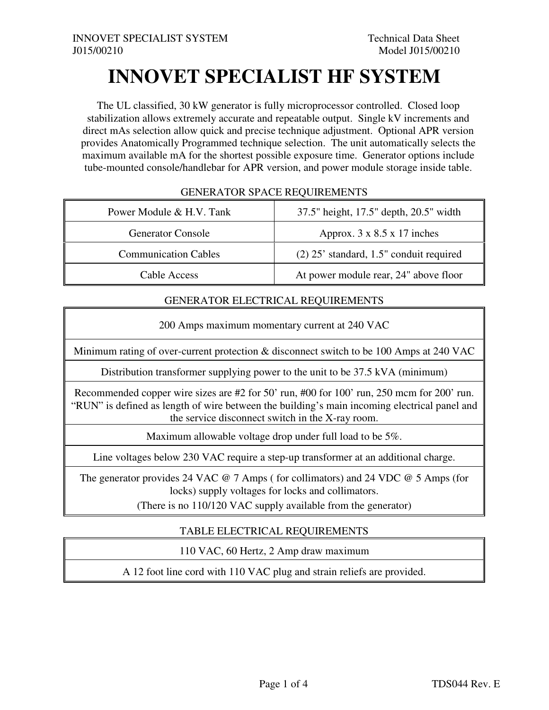# **INNOVET SPECIALIST HF SYSTEM**

The UL classified, 30 kW generator is fully microprocessor controlled. Closed loop stabilization allows extremely accurate and repeatable output. Single kV increments and direct mAs selection allow quick and precise technique adjustment. Optional APR version provides Anatomically Programmed technique selection. The unit automatically selects the maximum available mA for the shortest possible exposure time. Generator options include tube-mounted console/handlebar for APR version, and power module storage inside table.

| Power Module & H.V. Tank    | 37.5" height, 17.5" depth, 20.5" width    |  |
|-----------------------------|-------------------------------------------|--|
| <b>Generator Console</b>    | Approx. $3 \times 8.5 \times 17$ inches   |  |
| <b>Communication Cables</b> | $(2)$ 25' standard, 1.5" conduit required |  |
| Cable Access                | At power module rear, 24" above floor     |  |

#### GENERATOR SPACE REQUIREMENTS

### GENERATOR ELECTRICAL REQUIREMENTS

200 Amps maximum momentary current at 240 VAC

Minimum rating of over-current protection & disconnect switch to be 100 Amps at 240 VAC

Distribution transformer supplying power to the unit to be 37.5 kVA (minimum)

Recommended copper wire sizes are #2 for 50' run, #00 for 100' run, 250 mcm for 200' run. "RUN" is defined as length of wire between the building's main incoming electrical panel and the service disconnect switch in the X-ray room.

Maximum allowable voltage drop under full load to be 5%.

Line voltages below 230 VAC require a step-up transformer at an additional charge.

The generator provides 24 VAC @ 7 Amps ( for collimators) and 24 VDC @ 5 Amps (for locks) supply voltages for locks and collimators.

(There is no 110/120 VAC supply available from the generator)

## TABLE ELECTRICAL REQUIREMENTS

110 VAC, 60 Hertz, 2 Amp draw maximum

A 12 foot line cord with 110 VAC plug and strain reliefs are provided.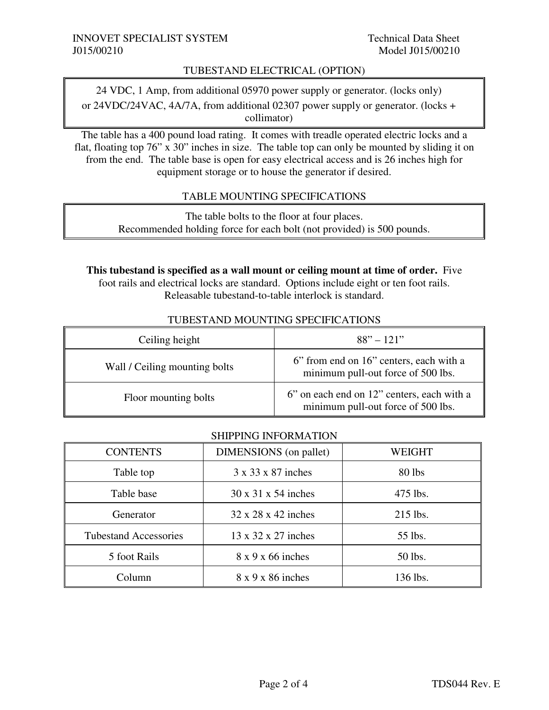#### TUBESTAND ELECTRICAL (OPTION)

24 VDC, 1 Amp, from additional 05970 power supply or generator. (locks only) or 24VDC/24VAC, 4A/7A, from additional 02307 power supply or generator. (locks + collimator)

The table has a 400 pound load rating. It comes with treadle operated electric locks and a flat, floating top 76" x 30" inches in size. The table top can only be mounted by sliding it on from the end. The table base is open for easy electrical access and is 26 inches high for equipment storage or to house the generator if desired.

#### TABLE MOUNTING SPECIFICATIONS

The table bolts to the floor at four places. Recommended holding force for each bolt (not provided) is 500 pounds.

**This tubestand is specified as a wall mount or ceiling mount at time of order.** Five foot rails and electrical locks are standard. Options include eight or ten foot rails. Releasable tubestand-to-table interlock is standard.

| TUDES LAIND MUUDITIINU SI EUII IUATIUINS |                                   |  |
|------------------------------------------|-----------------------------------|--|
| Ceiling height                           | $88" - 121"$                      |  |
|                                          | $6$ from end on $16$ centers each |  |

# TUBESTAND MOUNTING SPECIEICATIONS

| Wall / Ceiling mounting bolts | 6" from end on 16" centers, each with a<br>minimum pull-out force of 500 lbs.    |
|-------------------------------|----------------------------------------------------------------------------------|
| Floor mounting bolts          | 6" on each end on 12" centers, each with a<br>minimum pull-out force of 500 lbs. |

#### SHIPPING INFORMATION

| <b>CONTENTS</b>              | DIMENSIONS (on pallet)          | <b>WEIGHT</b> |
|------------------------------|---------------------------------|---------------|
| Table top                    | 3 x 33 x 87 inches              | 80 lbs        |
| Table base                   | $30 \times 31 \times 54$ inches | 475 lbs.      |
| Generator                    | $32 \times 28 \times 42$ inches | 215 lbs.      |
| <b>Tubestand Accessories</b> | 13 x 32 x 27 inches             | 55 lbs.       |
| 5 foot Rails                 | $8 \times 9 \times 66$ inches   | 50 lbs.       |
| Column                       | $8 \times 9 \times 86$ inches   | 136 lbs.      |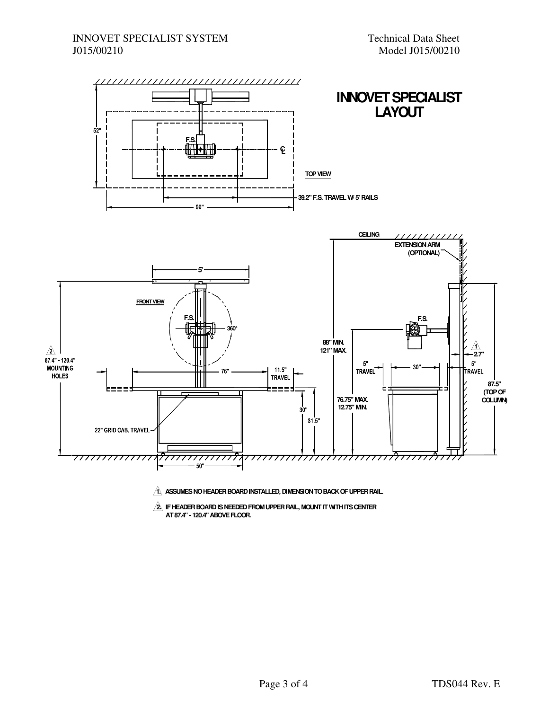

 $\hat{A}$  ASSUMES NO HEADER BOARD INSTALLED, DIMENSION TO BACK OF UPPER RAIL.

 $2\overline{2}$  IF HEADER BOARD IS NEEDED FROM UPPER RAIL, MOUNT IT WITH ITS CENTER  **AT 87.4" - 120.4" ABOVE FLOOR.**